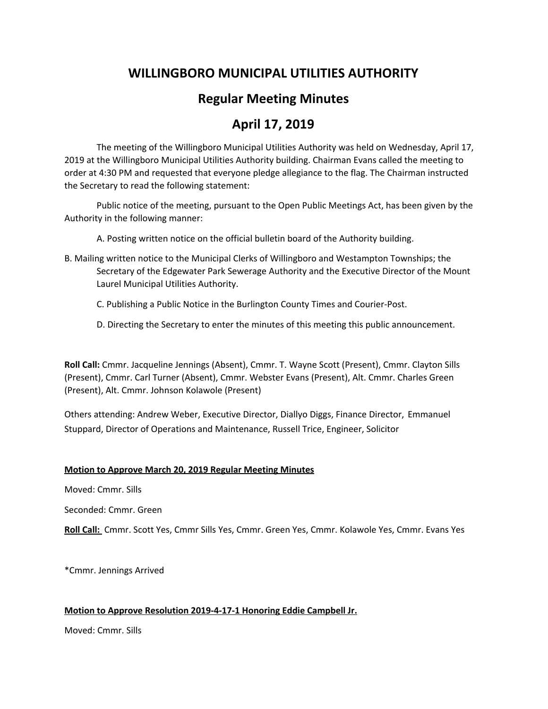# **WILLINGBORO MUNICIPAL UTILITIES AUTHORITY**

# **Regular Meeting Minutes**

# **April 17, 2019**

The meeting of the Willingboro Municipal Utilities Authority was held on Wednesday, April 17, 2019 at the Willingboro Municipal Utilities Authority building. Chairman Evans called the meeting to order at 4:30 PM and requested that everyone pledge allegiance to the flag. The Chairman instructed the Secretary to read the following statement:

Public notice of the meeting, pursuant to the Open Public Meetings Act, has been given by the Authority in the following manner:

A. Posting written notice on the official bulletin board of the Authority building.

- B. Mailing written notice to the Municipal Clerks of Willingboro and Westampton Townships; the Secretary of the Edgewater Park Sewerage Authority and the Executive Director of the Mount Laurel Municipal Utilities Authority.
	- C. Publishing a Public Notice in the Burlington County Times and Courier-Post.
	- D. Directing the Secretary to enter the minutes of this meeting this public announcement.

**Roll Call:** Cmmr. Jacqueline Jennings (Absent), Cmmr. T. Wayne Scott (Present), Cmmr. Clayton Sills (Present), Cmmr. Carl Turner (Absent), Cmmr. Webster Evans (Present), Alt. Cmmr. Charles Green (Present), Alt. Cmmr. Johnson Kolawole (Present)

Others attending: Andrew Weber, Executive Director, Diallyo Diggs, Finance Director, Emmanuel Stuppard, Director of Operations and Maintenance, Russell Trice, Engineer, Solicitor

## **Motion to Approve March 20, 2019 Regular Meeting Minutes**

Moved: Cmmr. Sills

Seconded: Cmmr. Green

**Roll Call:** Cmmr. Scott Yes, Cmmr Sills Yes, Cmmr. Green Yes, Cmmr. Kolawole Yes, Cmmr. Evans Yes

\*Cmmr. Jennings Arrived

## **Motion to Approve Resolution 2019-4-17-1 Honoring Eddie Campbell Jr.**

Moved: Cmmr. Sills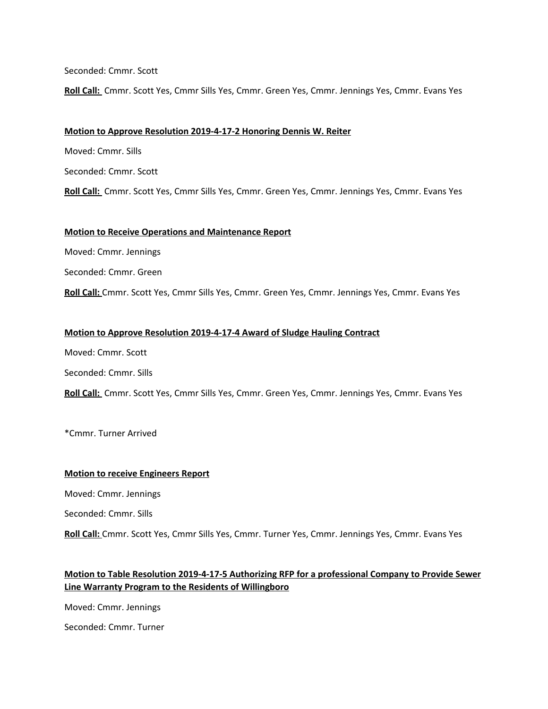Seconded: Cmmr. Scott

**Roll Call:** Cmmr. Scott Yes, Cmmr Sills Yes, Cmmr. Green Yes, Cmmr. Jennings Yes, Cmmr. Evans Yes

### **Motion to Approve Resolution 2019-4-17-2 Honoring Dennis W. Reiter**

Moved: Cmmr. Sills

Seconded: Cmmr. Scott

**Roll Call:** Cmmr. Scott Yes, Cmmr Sills Yes, Cmmr. Green Yes, Cmmr. Jennings Yes, Cmmr. Evans Yes

#### **Motion to Receive Operations and Maintenance Report**

Moved: Cmmr. Jennings

Seconded: Cmmr. Green

**Roll Call:** Cmmr. Scott Yes, Cmmr Sills Yes, Cmmr. Green Yes, Cmmr. Jennings Yes, Cmmr. Evans Yes

#### **Motion to Approve Resolution 2019-4-17-4 Award of Sludge Hauling Contract**

Moved: Cmmr. Scott

Seconded: Cmmr. Sills

**Roll Call:** Cmmr. Scott Yes, Cmmr Sills Yes, Cmmr. Green Yes, Cmmr. Jennings Yes, Cmmr. Evans Yes

\*Cmmr. Turner Arrived

#### **Motion to receive Engineers Report**

Moved: Cmmr. Jennings

Seconded: Cmmr. Sills

**Roll Call:** Cmmr. Scott Yes, Cmmr Sills Yes, Cmmr. Turner Yes, Cmmr. Jennings Yes, Cmmr. Evans Yes

## **Motion to Table Resolution 2019-4-17-5 Authorizing RFP for a professional Company to Provide Sewer Line Warranty Program to the Residents of Willingboro**

Moved: Cmmr. Jennings

Seconded: Cmmr. Turner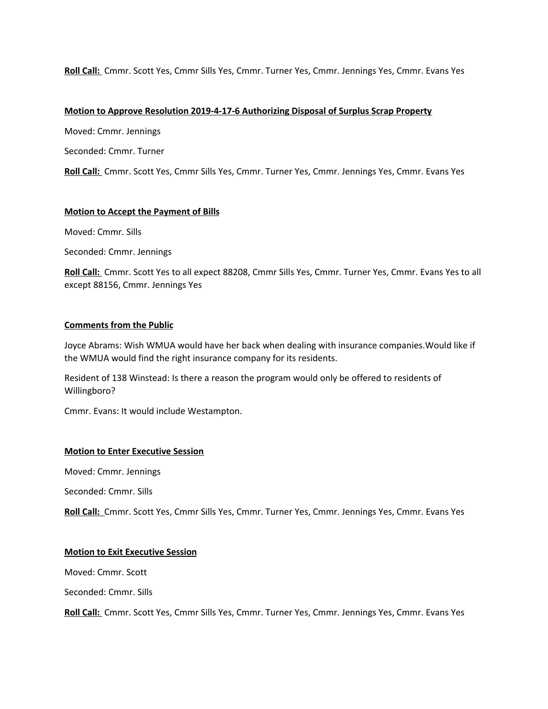**Roll Call:** Cmmr. Scott Yes, Cmmr Sills Yes, Cmmr. Turner Yes, Cmmr. Jennings Yes, Cmmr. Evans Yes

### **Motion to Approve Resolution 2019-4-17-6 Authorizing Disposal of Surplus Scrap Property**

Moved: Cmmr. Jennings

Seconded: Cmmr. Turner

**Roll Call:** Cmmr. Scott Yes, Cmmr Sills Yes, Cmmr. Turner Yes, Cmmr. Jennings Yes, Cmmr. Evans Yes

## **Motion to Accept the Payment of Bills**

Moved: Cmmr. Sills

Seconded: Cmmr. Jennings

**Roll Call:** Cmmr. Scott Yes to all expect 88208, Cmmr Sills Yes, Cmmr. Turner Yes, Cmmr. Evans Yes to all except 88156, Cmmr. Jennings Yes

## **Comments from the Public**

Joyce Abrams: Wish WMUA would have her back when dealing with insurance companies.Would like if the WMUA would find the right insurance company for its residents.

Resident of 138 Winstead: Is there a reason the program would only be offered to residents of Willingboro?

Cmmr. Evans: It would include Westampton.

### **Motion to Enter Executive Session**

Moved: Cmmr. Jennings

Seconded: Cmmr. Sills

**Roll Call:** Cmmr. Scott Yes, Cmmr Sills Yes, Cmmr. Turner Yes, Cmmr. Jennings Yes, Cmmr. Evans Yes

### **Motion to Exit Executive Session**

Moved: Cmmr. Scott

Seconded: Cmmr. Sills

**Roll Call:** Cmmr. Scott Yes, Cmmr Sills Yes, Cmmr. Turner Yes, Cmmr. Jennings Yes, Cmmr. Evans Yes